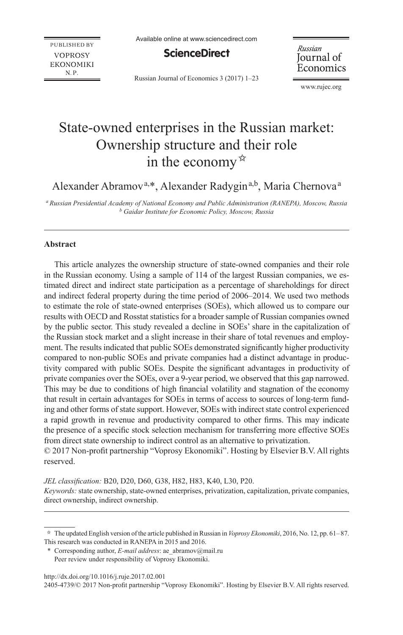**PUBLISHED BY VOPROSY EKONOMIKI**  $N.P.$ 

**ScienceDirect** 

Russian Journal of Economics 3 (2017) 1–23

Russian Journal of Economics

www.rujec.org

# State-owned enterprises in the Russian market: Ownership structure and their role in the economy  $\hat{z}$

Alexander Abramov<sup>a,\*</sup>, Alexander Radygin<sup>a,b</sup>, Maria Chernova<sup>a</sup>

*a Russian Presidential Academy of National Economy and Public Administration (RANEPA), Moscow, Russia b Gaidar Institute for Economic Policy, Moscow, Russia*

#### **Abstract**

This article analyzes the ownership structure of state-owned companies and their role in the Russian economy. Using a sample of 114 of the largest Russian companies, we estimated direct and indirect state participation as a percentage of shareholdings for direct and indirect federal property during the time period of 2006–2014. We used two methods to estimate the role of state-owned enterprises (SOEs), which allowed us to compare our results with OECD and Rosstat statistics for a broader sample of Russian companies owned by the public sector. This study revealed a decline in SOEs' share in the capitalization of the Russian stock market and a slight increase in their share of total revenues and employment. The results indicated that public SOEs demonstrated significantly higher productivity compared to non-public SOEs and private companies had a distinct advantage in productivity compared with public SOEs. Despite the significant advantages in productivity of private companies over the SOEs, over a 9-year period, we observed that this gap narrowed. This may be due to conditions of high financial volatility and stagnation of the economy that result in certain advantages for SOEs in terms of access to sources of long-term funding and other forms of state support. However, SOEs with indirect state control experienced a rapid growth in revenue and productivity compared to other firms. This may indicate the presence of a specific stock selection mechanism for transferring more effective SOEs from direct state ownership to indirect control as an alternative to privatization.

© 2017 Non-profit partnership "Voprosy Ekonomiki". Hosting by Elsevier B.V. All rights reserved.

*JEL classification:* B20, D20, D60, G38, H82, H83, K40, L30, P20. *Keywords:* state ownership, state-owned enterprises, privatization, capitalization, private companies, direct ownership, indirect ownership.

http://dx.doi.org/10.1016/j.ruje.2017.02.001

2405-4739/© 2017 Non-profit partnership "Voprosy Ekonomiki". Hosting by Elsevier B.V. All rights reserved.

<sup>✩</sup> The updated English version of the article published in Russian in *Voprosy Ekonomiki*, 2016, No. 12, pp. 61–87. This research was conducted in RANEPA in 2015 and 2016.

<sup>\*</sup> Corresponding author, *E-mail address*: ae\_abramov@mail.ru Peer review under responsibility of Voprosy Ekonomiki.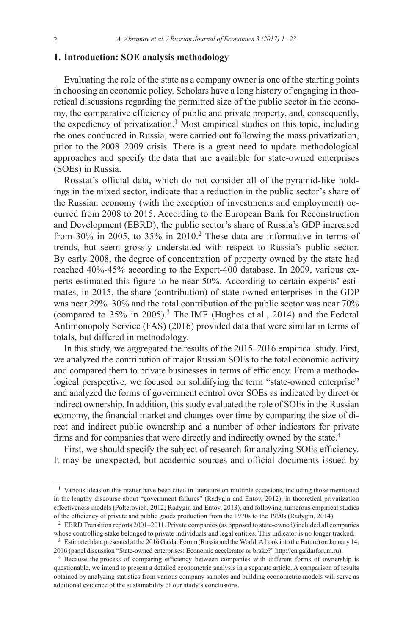# **1. Introduction: SOE analysis methodology**

Evaluating the role of the state as a company owner is one of the starting points in choosing an economic policy. Scholars have a long history of engaging in theoretical discussions regarding the permitted size of the public sector in the economy, the comparative efficiency of public and private property, and, consequently, the expediency of privatization.<sup>1</sup> Most empirical studies on this topic, including the ones conducted in Russia, were carried out following the mass privatization, prior to the 2008–2009 crisis. There is a great need to update methodological approaches and specify the data that are available for state-owned enterprises (SOEs) in Russia.

Rosstat's official data, which do not consider all of the pyramid-like holdings in the mixed sector, indicate that a reduction in the public sector's share of the Russian economy (with the exception of investments and employment) occurred from 2008 to 2015. According to the European Bank for Reconstruction and Development (EBRD), the public sector's share of Russia's GDP increased from 30% in 2005, to 35% in 2010.2 These data are informative in terms of trends, but seem grossly understated with respect to Russia's public sector. By early 2008, the degree of concentration of property owned by the state had reached 40%-45% according to the Expert-400 database. In 2009, various experts estimated this figure to be near 50%. According to certain experts' estimates, in 2015, the share (contribution) of state-owned enterprises in the GDP was near 29%–30% and the total contribution of the public sector was near 70% (compared to  $35\%$  in  $2005$ ).<sup>3</sup> The IMF (Hughes et al., 2014) and the Federal Antimonopoly Service (FAS) (2016) provided data that were similar in terms of totals, but differed in methodology.

In this study, we aggregated the results of the 2015–2016 empirical study. First, we analyzed the contribution of major Russian SOEs to the total economic activity and compared them to private businesses in terms of efficiency. From a methodological perspective, we focused on solidifying the term "state-owned enterprise" and analyzed the forms of government control over SOEs as indicated by direct or indirect ownership. In addition, this study evaluated the role of SOEs in the Russian economy, the financial market and changes over time by comparing the size of direct and indirect public ownership and a number of other indicators for private firms and for companies that were directly and indirectly owned by the state.<sup>4</sup>

First, we should specify the subject of research for analyzing SOEs efficiency. It may be unexpected, but academic sources and official documents issued by

<sup>&</sup>lt;sup>1</sup> Various ideas on this matter have been cited in literature on multiple occasions, including those mentioned in the lengthy discourse about "government failures" (Radygin and Entov, 2012), in theoretical privatization effectiveness models (Polterovich, 2012; Radygin and Entov, 2013), and following numerous empirical studies of the efficiency of private and public goods production from the 1970s to the 1990s (Radygin, 2014).

<sup>2</sup> EBRD Transition reports 2001–2011. Private companies (as opposed to state-owned) included all companies whose controlling stake belonged to private individuals and legal entities. This indicator is no longer tracked.

<sup>3</sup> Estimated data presented at the 2016 Gaidar Forum (Russia and the World: ALook into the Future) on January 14, 2016 (panel discussion "State-owned enterprises: Economic accelerator or brake?" http://en.gaidarforum.ru).

<sup>4</sup> Because the process of comparing efficiency between companies with different forms of ownership is questionable, we intend to present a detailed econometric analysis in a separate article. A comparison of results obtained by analyzing statistics from various company samples and building econometric models will serve as additional evidence of the sustainability of our study's conclusions.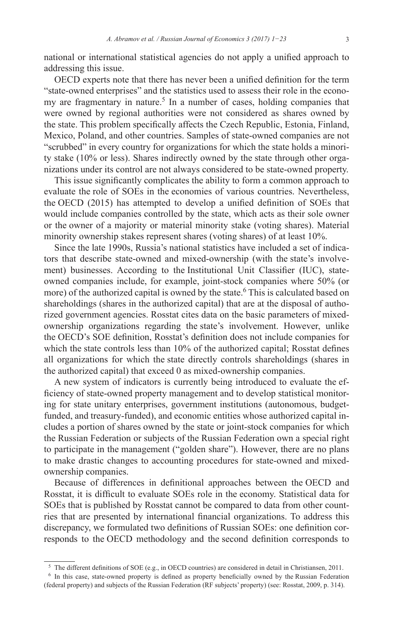national or international statistical agencies do not apply a unified approach to addressing this issue.

OECD experts note that there has never been a unified definition for the term "state-owned enterprises" and the statistics used to assess their role in the economy are fragmentary in nature.<sup>5</sup> In a number of cases, holding companies that were owned by regional authorities were not considered as shares owned by the state. This problem specifically affects the Czech Republic, Estonia, Finland, Mexico, Poland, and other countries. Samples of state-owned companies are not "scrubbed" in every country for organizations for which the state holds a minority stake (10% or less). Shares indirectly owned by the state through other organizations under its control are not always considered to be state-owned property.

This issue significantly complicates the ability to form a common approach to evaluate the role of SOEs in the economies of various countries. Nevertheless, the OECD (2015) has attempted to develop a unified definition of SOEs that would include companies controlled by the state, which acts as their sole owner or the owner of a majority or material minority stake (voting shares). Material minority ownership stakes represent shares (voting shares) of at least 10%.

Since the late 1990s, Russia's national statistics have included a set of indicators that describe state-owned and mixed-ownership (with the state's involvement) businesses. According to the Institutional Unit Classifier (IUC), stateowned companies include, for example, joint-stock companies where 50% (or more) of the authorized capital is owned by the state.<sup>6</sup> This is calculated based on shareholdings (shares in the authorized capital) that are at the disposal of authorized government agencies. Rosstat cites data on the basic parameters of mixedownership organizations regarding the state's involvement. However, unlike the OECD's SOE definition, Rosstat's definition does not include companies for which the state controls less than 10% of the authorized capital; Rosstat defines all organizations for which the state directly controls shareholdings (shares in the authorized capital) that exceed 0 as mixed-ownership companies.

A new system of indicators is currently being introduced to evaluate the efficiency of state-owned property management and to develop statistical monitoring for state unitary enterprises, government institutions (autonomous, budgetfunded, and treasury-funded), and economic entities whose authorized capital includes a portion of shares owned by the state or joint-stock companies for which the Russian Federation or subjects of the Russian Federation own a special right to participate in the management ("golden share"). However, there are no plans to make drastic changes to accounting procedures for state-owned and mixedownership companies.

Because of differences in definitional approaches between the OECD and Rosstat, it is difficult to evaluate SOEs role in the economy. Statistical data for SOEs that is published by Rosstat cannot be compared to data from other countries that are presented by international financial organizations. To address this discrepancy, we formulated two definitions of Russian SOEs: one definition corresponds to the OECD methodology and the second definition corresponds to

<sup>5</sup> The different definitions of SOE (e.g., in OECD countries) are considered in detail in Christiansen, 2011.

<sup>6</sup> In this case, state-owned property is defined as property beneficially owned by the Russian Federation (federal property) and subjects of the Russian Federation (RF subjects' property) (see: Rosstat, 2009, p. 314).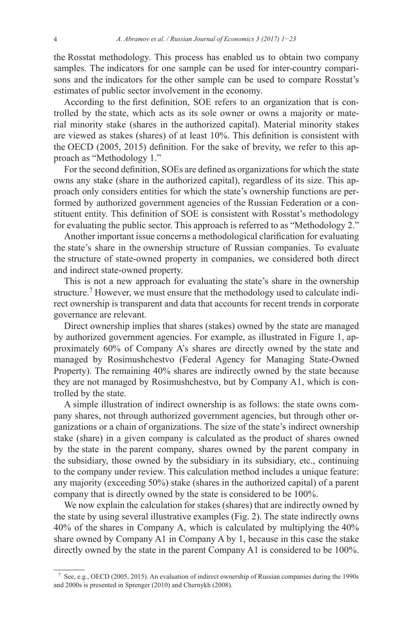the Rosstat methodology. This process has enabled us to obtain two company samples. The indicators for one sample can be used for inter-country comparisons and the indicators for the other sample can be used to compare Rosstat's estimates of public sector involvement in the economy.

According to the first definition, SOE refers to an organization that is controlled by the state, which acts as its sole owner or owns a majority or material minority stake (shares in the authorized capital). Material minority stakes are viewed as stakes (shares) of at least 10%. This definition is consistent with the OECD (2005, 2015) definition. For the sake of brevity, we refer to this approach as "Methodology 1."

For the second definition, SOEs are defined as organizations for which the state owns any stake (share in the authorized capital), regardless of its size. This approach only considers entities for which the state's ownership functions are performed by authorized government agencies of the Russian Federation or a constituent entity. This definition of SOE is consistent with Rosstat's methodology for evaluating the public sector. This approach is referred to as "Methodology 2."

Another important issue concerns a methodological clarification for evaluating the state's share in the ownership structure of Russian companies. To evaluate the structure of state-owned property in companies, we considered both direct and indirect state-owned property.

This is not a new approach for evaluating the state's share in the ownership structure.<sup>7</sup> However, we must ensure that the methodology used to calculate indirect ownership is transparent and data that accounts for recent trends in corporate governance are relevant.

Direct ownership implies that shares (stakes) owned by the state are managed by authorized government agencies. For example, as illustrated in Figure 1, approximately 60% of Company A's shares are directly owned by the state and managed by Rosimushchestvo (Federal Agency for Managing State-Owned Property). The remaining 40% shares are indirectly owned by the state because they are not managed by Rosimushchestvo, but by Company A1, which is controlled by the state.

A simple illustration of indirect ownership is as follows: the state owns company shares, not through authorized government agencies, but through other organizations or a chain of organizations. The size of the state's indirect ownership stake (share) in a given company is calculated as the product of shares owned by the state in the parent company, shares owned by the parent company in the subsidiary, those owned by the subsidiary in its subsidiary, etc., continuing to the company under review. This calculation method includes a unique feature: any majority (exceeding 50%) stake (shares in the authorized capital) of a parent company that is directly owned by the state is considered to be 100%.

We now explain the calculation for stakes (shares) that are indirectly owned by the state by using several illustrative examples (Fig. 2). The state indirectly owns 40% of the shares in Company A, which is calculated by multiplying the 40% share owned by Company A1 in Company A by 1, because in this case the stake directly owned by the state in the parent Company A1 is considered to be 100%.

<sup>7</sup> See, e.g., OECD (2005, 2015). An evaluation of indirect ownership of Russian companies during the 1990s and 2000s is presented in Sprenger (2010) and Chernykh (2008).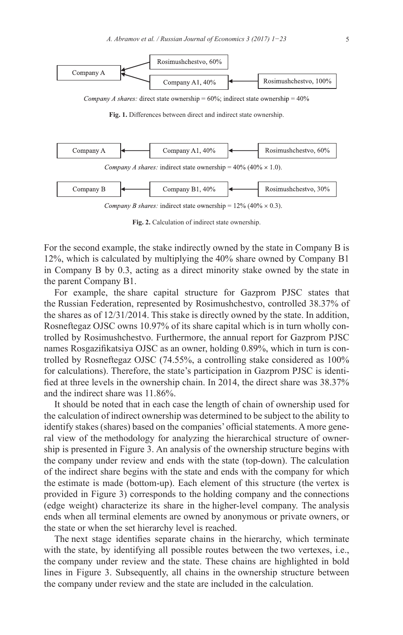

**Fig. 2.** Calculation of indirect state ownership.

For the second example, the stake indirectly owned by the state in Company B is 12%, which is calculated by multiplying the 40% share owned by Company B1 in Company B by 0.3, acting as a direct minority stake owned by the state in the parent Company B1.

For example, the share capital structure for Gazprom PJSC states that the Russian Federation, represented by Rosimushchestvo, controlled 38.37% of the shares as of 12/31/2014. This stake is directly owned by the state. In addition, Rosneftegaz OJSC owns 10.97% of its share capital which is in turn wholly controlled by Rosimushchestvo. Furthermore, the annual report for Gazprom PJSC names Rosgazifikatsiya OJSC as an owner, holding 0.89%, which in turn is controlled by Rosneftegaz OJSC (74.55%, a controlling stake considered as 100% for calculations). Therefore, the state's participation in Gazprom PJSC is identified at three levels in the ownership chain. In 2014, the direct share was 38.37% and the indirect share was 11.86%.

It should be noted that in each case the length of chain of ownership used for the calculation of indirect ownership was determined to be subject to the ability to identify stakes (shares) based on the companies' official statements. Amore general view of the methodology for analyzing the hierarchical structure of ownership is presented in Figure 3. An analysis of the ownership structure begins with the company under review and ends with the state (top-down). The calculation of the indirect share begins with the state and ends with the company for which the estimate is made (bottom-up). Each element of this structure (the vertex is provided in Figure 3) corresponds to the holding company and the connections (edge weight) characterize its share in the higher-level company. The analysis ends when all terminal elements are owned by anonymous or private owners, or the state or when the set hierarchy level is reached.

The next stage identifies separate chains in the hierarchy, which terminate with the state, by identifying all possible routes between the two vertexes, i.e., the company under review and the state. These chains are highlighted in bold lines in Figure 3. Subsequently, all chains in the ownership structure between the company under review and the state are included in the calculation.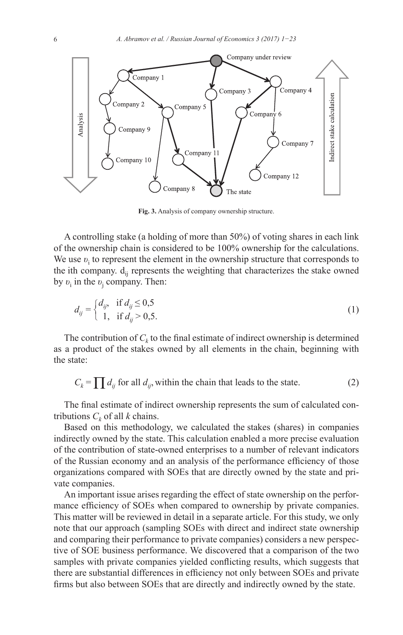

**Fig. 3.** Analysis of company ownership structure.

A controlling stake (a holding of more than 50%) of voting shares in each link of the ownership chain is considered to be 100% ownership for the calculations. We use  $v_i$  to represent the element in the ownership structure that corresponds to the ith company.  $d_{ii}$  represents the weighting that characterizes the stake owned by *υ*<sup>i</sup> in the *υ*<sup>j</sup> company. Then:

$$
d_{ij} = \begin{cases} d_{ij}, & \text{if } d_{ij} \le 0, 5 \\ 1, & \text{if } d_{ij} > 0, 5. \end{cases}
$$
 (1)

The contribution of  $C_k$  to the final estimate of indirect ownership is determined as a product of the stakes owned by all elements in the chain, beginning with the state:

$$
C_k = \prod d_{ij} \text{ for all } d_{ij}, \text{ within the chain that leads to the state.}
$$
 (2)

The final estimate of indirect ownership represents the sum of calculated contributions  $C_k$  of all *k* chains.

Based on this methodology, we calculated the stakes (shares) in companies indirectly owned by the state. This calculation enabled a more precise evaluation of the contribution of state-owned enterprises to a number of relevant indicators of the Russian economy and an analysis of the performance efficiency of those organizations compared with SOEs that are directly owned by the state and private companies.

An important issue arises regarding the effect of state ownership on the performance efficiency of SOEs when compared to ownership by private companies. This matter will be reviewed in detail in a separate article. For this study, we only note that our approach (sampling SOEs with direct and indirect state ownership and comparing their performance to private companies) considers a new perspective of SOE business performance. We discovered that a comparison of the two samples with private companies yielded conflicting results, which suggests that there are substantial differences in efficiency not only between SOEs and private firms but also between SOEs that are directly and indirectly owned by the state.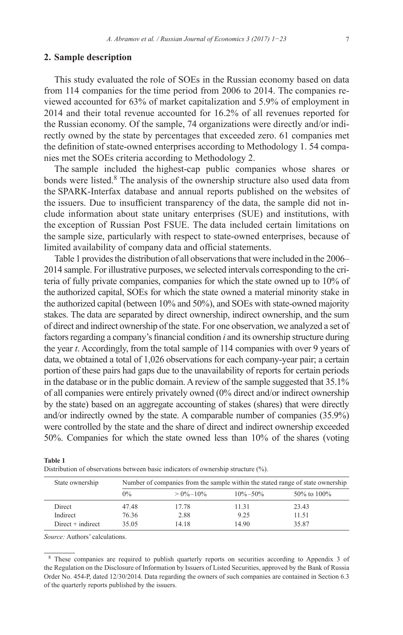#### **2. Sample description**

This study evaluated the role of SOEs in the Russian economy based on data from 114 companies for the time period from 2006 to 2014. The companies reviewed accounted for 63% of market capitalization and 5.9% of employment in 2014 and their total revenue accounted for 16.2% of all revenues reported for the Russian economy. Of the sample, 74 organizations were directly and/or indirectly owned by the state by percentages that exceeded zero. 61 companies met the definition of state-owned enterprises according to Methodology 1. 54 companies met the SOEs criteria according to Methodology 2.

The sample included the highest-cap public companies whose shares or bonds were listed.8 The analysis of the ownership structure also used data from the SPARK-Interfax database and annual reports published on the websites of the issuers. Due to insufficient transparency of the data, the sample did not include information about state unitary enterprises (SUE) and institutions, with the exception of Russian Post FSUE. The data included certain limitations on the sample size, particularly with respect to state-owned enterprises, because of limited availability of company data and official statements.

Table 1 provides the distribution of all observations that were included in the 2006– 2014 sample. For illustrative purposes, we selected intervals corresponding to the criteria of fully private companies, companies for which the state owned up to 10% of the authorized capital, SOEs for which the state owned a material minority stake in the authorized capital (between 10% and 50%), and SOEs with state-owned majority stakes. The data are separated by direct ownership, indirect ownership, and the sum of direct and indirect ownership of the state. For one observation, we analyzed a set of factors regarding a company's financial condition *i* and its ownership structure during the year *t*. Accordingly, from the total sample of 114 companies with over 9 years of data, we obtained a total of 1,026 observations for each company-year pair; a certain portion of these pairs had gaps due to the unavailability of reports for certain periods in the database or in the public domain. Areview of the sample suggested that 35.1% of all companies were entirely privately owned (0% direct and/or indirect ownership by the state) based on an aggregate accounting of stakes (shares) that were directly and/or indirectly owned by the state. A comparable number of companies (35.9%) were controlled by the state and the share of direct and indirect ownership exceeded 50%. Companies for which the state owned less than 10% of the shares (voting

| State ownership     |       | Number of companies from the sample within the stated range of state ownership |               |                   |  |  |  |  |
|---------------------|-------|--------------------------------------------------------------------------------|---------------|-------------------|--|--|--|--|
|                     | $0\%$ | $> 0\% - 10\%$                                                                 | $10\% - 50\%$ | $50\%$ to $100\%$ |  |  |  |  |
| Direct              | 47.48 | 17.78                                                                          | 11.31         | 23.43             |  |  |  |  |
| Indirect            | 76.36 | 2.88                                                                           | 9.25          | 11.51             |  |  |  |  |
| $Direct + indirect$ | 35.05 | 14.18                                                                          | 14.90         | 35.87             |  |  |  |  |

**Table 1** Distribution of observations between basic indicators of ownership structure (%).

*Source:* Authors' calculations.

<sup>8</sup> These companies are required to publish quarterly reports on securities according to Appendix 3 of the Regulation on the Disclosure of Information by Issuers of Listed Securities, approved by the Bank of Russia Order No. 454-P, dated 12/30/2014. Data regarding the owners of such companies are contained in Section 6.3 of the quarterly reports published by the issuers.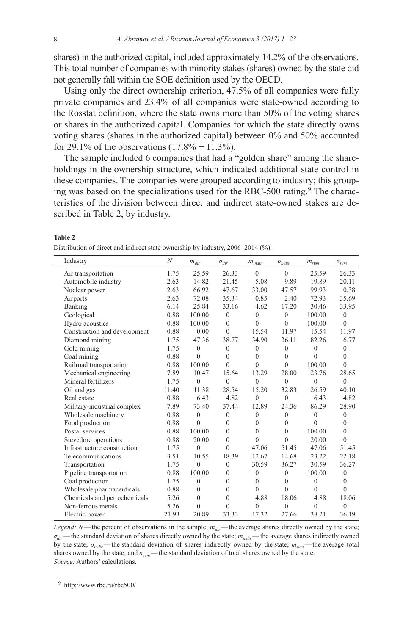shares) in the authorized capital, included approximately 14.2% of the observations. This total number of companies with minority stakes (shares) owned by the state did not generally fall within the SOE definition used by the OECD.

Using only the direct ownership criterion, 47.5% of all companies were fully private companies and 23.4% of all companies were state-owned according to the Rosstat definition, where the state owns more than 50% of the voting shares or shares in the authorized capital. Companies for which the state directly owns voting shares (shares in the authorized capital) between 0% and 50% accounted for 29.1% of the observations  $(17.8% + 11.3%)$ .

The sample included 6 companies that had a "golden share" among the shareholdings in the ownership structure, which indicated additional state control in these companies. The companies were grouped according to industry; this grouping was based on the specializations used for the RBC-500 rating.<sup>9</sup> The characteristics of the division between direct and indirect state-owned stakes are described in Table 2, by industry.

| v<br>۰.<br>v<br>۰,<br>I |  |
|-------------------------|--|
|-------------------------|--|

Distribution of direct and indirect state ownership by industry, 2006–2014 (%).

| Industry                     | $\boldsymbol{N}$ | $m_{dir}$      | $\sigma_{dir}$ | $m_{indir}$  | $\sigma_{\text{\it indir}}$ | $m_{\scriptscriptstyle sum}$ | $\sigma_{\rm sum}$ |
|------------------------------|------------------|----------------|----------------|--------------|-----------------------------|------------------------------|--------------------|
| Air transportation           | 1.75             | 25.59          | 26.33          | $\theta$     | $\theta$                    | 25.59                        | 26.33              |
| Automobile industry          | 2.63             | 14.82          | 21.45          | 5.08         | 9.89                        | 19.89                        | 20.11              |
| Nuclear power                | 2.63             | 66.92          | 47.67          | 33.00        | 47.57                       | 99.93                        | 0.38               |
| Airports                     | 2.63             | 72.08          | 35.34          | 0.85         | 2.40                        | 72.93                        | 35.69              |
| Banking                      | 6.14             | 25.84          | 33.16          | 4.62         | 17.20                       | 30.46                        | 33.95              |
| Geological                   | 0.88             | 100.00         | $\theta$       | $\mathbf{0}$ | $\theta$                    | 100.00                       | $\mathbf{0}$       |
| Hydro acoustics              | 0.88             | 100.00         | $\theta$       | $\theta$     | $\theta$                    | 100.00                       | $\theta$           |
| Construction and development | 0.88             | 0.00           | $\theta$       | 15.54        | 11.97                       | 15.54                        | 11.97              |
| Diamond mining               | 1.75             | 47.36          | 38.77          | 34.90        | 36.11                       | 82.26                        | 6.77               |
| Gold mining                  | 1.75             | $\theta$       | $\overline{0}$ | $\mathbf{0}$ | $\theta$                    | $\theta$                     | $\theta$           |
| Coal mining                  | 0.88             | $\theta$       | $\theta$       | $\mathbf{0}$ | $\theta$                    | $\theta$                     | $\theta$           |
| Railroad transportation      | 0.88             | 100.00         | $\theta$       | $\theta$     | $\theta$                    | 100.00                       | $\theta$           |
| Mechanical engineering       | 7.89             | 10.47          | 15.64          | 13.29        | 28.00                       | 23.76                        | 28.65              |
| Mineral fertilizers          | 1.75             | $\overline{0}$ | $\mathbf{0}$   | $\mathbf{0}$ | $\mathbf{0}$                | $\mathbf{0}$                 | $\theta$           |
| Oil and gas                  | 11.40            | 11.38          | 28.54          | 15.20        | 32.83                       | 26.59                        | 40.10              |
| Real estate                  | 0.88             | 6.43           | 4.82           | $\theta$     | $\theta$                    | 6.43                         | 4.82               |
| Military-industrial complex  | 7.89             | 73.40          | 37.44          | 12.89        | 24.36                       | 86.29                        | 28.90              |
| Wholesale machinery          | 0.88             | $\theta$       | $\theta$       | $\mathbf{0}$ | $\theta$                    | $\theta$                     | $\theta$           |
| Food production              | 0.88             | $\theta$       | $\theta$       | $\mathbf{0}$ | $\theta$                    | $\theta$                     | $\mathbf{0}$       |
| Postal services              | 0.88             | 100.00         | $\theta$       | $\theta$     | $\theta$                    | 100.00                       | $\theta$           |
| Stevedore operations         | 0.88             | 20.00          | $\theta$       | $\theta$     | $\theta$                    | 20.00                        | $\theta$           |
| Infrastructure construction  | 1.75             | $\theta$       | $\theta$       | 47.06        | 51.45                       | 47.06                        | 51.45              |
| Telecommunications           | 3.51             | 10.55          | 18.39          | 12.67        | 14.68                       | 23.22                        | 22.18              |
| Transportation               | 1.75             | $\mathbf{0}$   | $\mathbf{0}$   | 30.59        | 36.27                       | 30.59                        | 36.27              |
| Pipeline transportation      | 0.88             | 100.00         | $\mathbf{0}$   | $\mathbf{0}$ | $\mathbf{0}$                | 100.00                       | $\theta$           |
| Coal production              | 1.75             | $\mathbf{0}$   | $\theta$       | $\mathbf{0}$ | $\theta$                    | $\overline{0}$               | $\mathbf{0}$       |
| Wholesale pharmaceuticals    | 0.88             | $\theta$       | $\theta$       | $\theta$     | $\theta$                    | $\Omega$                     | $\theta$           |
| Chemicals and petrochemicals | 5.26             | $\theta$       | $\theta$       | 4.88         | 18.06                       | 4.88                         | 18.06              |
| Non-ferrous metals           | 5.26             | $\theta$       | $\Omega$       | $\theta$     | $\theta$                    | $\theta$                     | $\theta$           |
| Electric power               | 21.93            | 20.89          | 33.33          | 17.32        | 27.66                       | 38.21                        | 36.19              |
|                              |                  |                |                |              |                             |                              |                    |

*Legend: N*—the percent of observations in the sample;  $m_{dir}$ —the average shares directly owned by the state; *σdir*—the standard deviation of shares directly owned by the state; *mindir*—the average shares indirectly owned by the state; *σindir*—the standard deviation of shares indirectly owned by the state; *msum*—the average total shares owned by the state; and  $\sigma_{\text{sum}}$ —the standard deviation of total shares owned by the state. *Source:* Authors' calculations.

<sup>9</sup> http://www.rbc.ru/rbc500/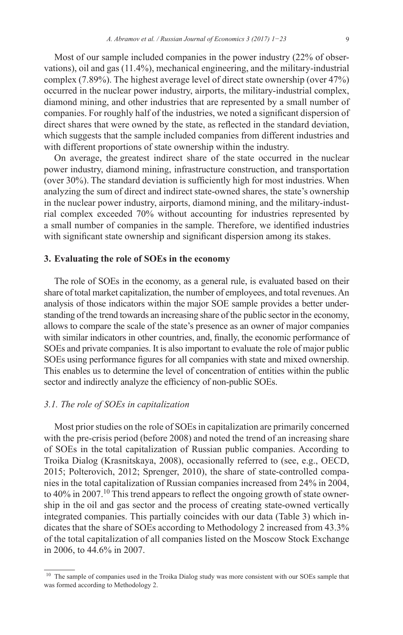Most of our sample included companies in the power industry (22% of observations), oil and gas (11.4%), mechanical engineering, and the military-industrial complex (7.89%). The highest average level of direct state ownership (over 47%) occurred in the nuclear power industry, airports, the military-industrial complex, diamond mining, and other industries that are represented by a small number of companies. For roughly half of the industries, we noted a significant dispersion of direct shares that were owned by the state, as reflected in the standard deviation, which suggests that the sample included companies from different industries and with different proportions of state ownership within the industry.

On average, the greatest indirect share of the state occurred in the nuclear power industry, diamond mining, infrastructure construction, and transportation (over 30%). The standard deviation is sufficiently high for most industries. When analyzing the sum of direct and indirect state-owned shares, the state's ownership in the nuclear power industry, airports, diamond mining, and the military-industrial complex exceeded 70% without accounting for industries represented by a small number of companies in the sample. Therefore, we identified industries with significant state ownership and significant dispersion among its stakes.

## **3. Evaluating the role of SOEs in the economy**

The role of SOEs in the economy, as a general rule, is evaluated based on their share of total market capitalization, the number of employees, and total revenues. An analysis of those indicators within the major SOE sample provides a better understanding of the trend towards an increasing share of the public sector in the economy, allows to compare the scale of the state's presence as an owner of major companies with similar indicators in other countries, and, finally, the economic performance of SOEs and private companies. It is also important to evaluate the role of major public SOEs using performance figures for all companies with state and mixed ownership. This enables us to determine the level of concentration of entities within the public sector and indirectly analyze the efficiency of non-public SOEs.

# *3.1. The role of SOEs in capitalization*

Most prior studies on the role of SOEs in capitalization are primarily concerned with the pre-crisis period (before 2008) and noted the trend of an increasing share of SOEs in the total capitalization of Russian public companies. According to Troika Dialog (Krasnitskaya, 2008), occasionally referred to (see, e.g., OECD, 2015; Polterovich, 2012; Sprenger, 2010), the share of state-controlled companies in the total capitalization of Russian companies increased from 24% in 2004, to  $40\%$  in  $2007$ .<sup>10</sup> This trend appears to reflect the ongoing growth of state ownership in the oil and gas sector and the process of creating state-owned vertically integrated companies. This partially coincides with our data (Table 3) which indicates that the share of SOEs according to Methodology 2 increased from 43.3% of the total capitalization of all companies listed on the Moscow Stock Exchange in 2006, to 44.6% in 2007.

<sup>&</sup>lt;sup>10</sup> The sample of companies used in the Troika Dialog study was more consistent with our SOEs sample that was formed according to Methodology 2.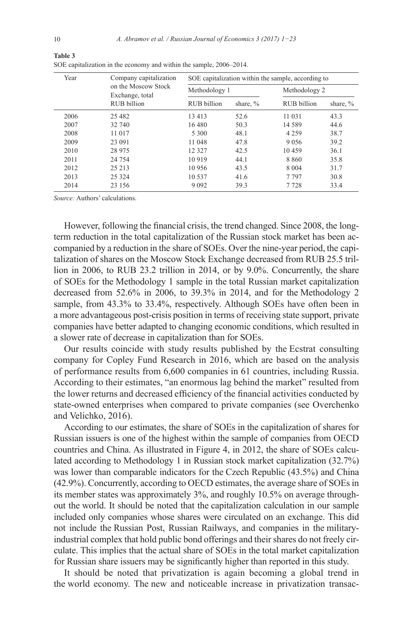| Year | Company capitalization                 | SOE capitalization within the sample, according to |                                                                 |          |               |  |  |  |
|------|----------------------------------------|----------------------------------------------------|-----------------------------------------------------------------|----------|---------------|--|--|--|
|      | on the Moscow Stock<br>Exchange, total | Methodology 1                                      |                                                                 |          | Methodology 2 |  |  |  |
|      | RUB billion                            | RUB billion                                        | RUB billion<br>share, $%$<br>52.6<br>11 031<br>14 5 8 9<br>50.3 | share, % |               |  |  |  |
| 2006 | 25 4 8 2                               | 13 4 13                                            |                                                                 |          | 43.3          |  |  |  |
| 2007 | 32 740                                 | 16 480                                             |                                                                 |          | 44.6          |  |  |  |
| 2008 | 11 017                                 | 5 3 0 0                                            | 48.1                                                            | 4 2 5 9  | 38.7          |  |  |  |
| 2009 | 23 091                                 | 11 048                                             | 47.8                                                            | 9 0 5 6  | 39.2          |  |  |  |
| 2010 | 28 975                                 | 12 3 2 7                                           | 42.5                                                            | 10459    | 36.1          |  |  |  |
| 2011 | 24 7 54                                | 10 9 19                                            | 44.1                                                            | 8860     | 35.8          |  |  |  |
| 2012 | 25 213                                 | 10 956                                             | 43.5                                                            | 8 0 0 4  | 31.7          |  |  |  |
| 2013 | 25 3 24                                | 10 5 37                                            | 41.6                                                            | 7797     | 30.8          |  |  |  |
| 2014 | 23 156                                 | 9 0 9 2                                            | 39.3                                                            | 7 7 2 8  | 33.4          |  |  |  |

**Table 3** SOE capitalization in the economy and within the sample, 2006–2014.

*Source:* Authors' calculations.

However, following the financial crisis, the trend changed. Since 2008, the longterm reduction in the total capitalization of the Russian stock market has been accompanied by a reduction in the share of SOEs. Over the nine-year period, the capitalization of shares on the Moscow Stock Exchange decreased from RUB 25.5 trillion in 2006, to RUB 23.2 trillion in 2014, or by 9.0%. Concurrently, the share of SOEs for the Methodology 1 sample in the total Russian market capitalization decreased from 52.6% in 2006, to 39.3% in 2014, and for the Methodology 2 sample, from 43.3% to 33.4%, respectively. Although SOEs have often been in a more advantageous post-crisis position in terms of receiving state support, private companies have better adapted to changing economic conditions, which resulted in a slower rate of decrease in capitalization than for SOEs.

Our results coincide with study results published by the Ecstrat consulting company for Copley Fund Research in 2016, which are based on the analysis of performance results from 6,600 companies in 61 countries, including Russia. According to their estimates, "an enormous lag behind the market" resulted from the lower returns and decreased efficiency of the financial activities conducted by state-owned enterprises when compared to private companies (see Overchenko and Velichko, 2016).

According to our estimates, the share of SOEs in the capitalization of shares for Russian issuers is one of the highest within the sample of companies from OECD countries and China. As illustrated in Figure 4, in 2012, the share of SOEs calculated according to Methodology 1 in Russian stock market capitalization (32.7%) was lower than comparable indicators for the Czech Republic (43.5%) and China (42.9%). Concurrently, according to OECD estimates, the average share of SOEs in its member states was approximately 3%, and roughly 10.5% on average throughout the world. It should be noted that the capitalization calculation in our sample included only companies whose shares were circulated on an exchange. This did not include the Russian Post, Russian Railways, and companies in the militaryindustrial complex that hold public bond offerings and their shares do not freely circulate. This implies that the actual share of SOEs in the total market capitalization for Russian share issuers may be significantly higher than reported in this study.

It should be noted that privatization is again becoming a global trend in the world economy. The new and noticeable increase in privatization transac-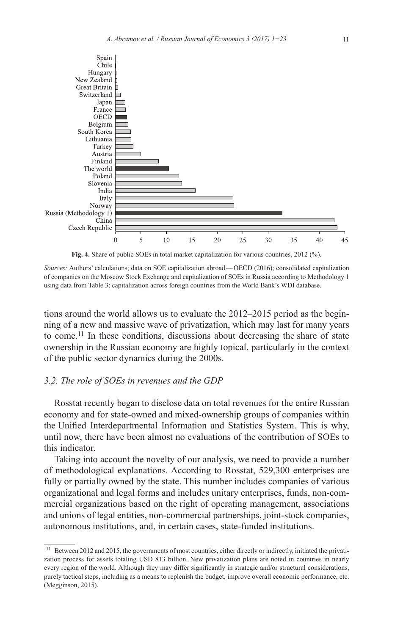

**Fig. 4.** Share of public SOEs in total market capitalization for various countries, 2012 (%).

*Sources:* Authors' calculations; data on SOE capitalization abroad—OECD (2016); consolidated capitalization of companies on the Moscow Stock Exchange and capitalization of SOEs in Russia according to Methodology 1 using data from Table 3; capitalization across foreign countries from the World Bank's WDI database.

tions around the world allows us to evaluate the 2012–2015 period as the beginning of a new and massive wave of privatization, which may last for many years to come.<sup>11</sup> In these conditions, discussions about decreasing the share of state ownership in the Russian economy are highly topical, particularly in the context of the public sector dynamics during the 2000s.

# *3.2. The role of SOEs in revenues and the GDP*

Rosstat recently began to disclose data on total revenues for the entire Russian economy and for state-owned and mixed-ownership groups of companies within the Unified Interdepartmental Information and Statistics System. This is why, until now, there have been almost no evaluations of the contribution of SOEs to this indicator.

Taking into account the novelty of our analysis, we need to provide a number of methodological explanations. According to Rosstat, 529,300 enterprises are fully or partially owned by the state. This number includes companies of various organizational and legal forms and includes unitary enterprises, funds, non-commercial organizations based on the right of operating management, associations and unions of legal entities, non-commercial partnerships, joint-stock companies, autonomous institutions, and, in certain cases, state-funded institutions.

<sup>&</sup>lt;sup>11</sup> Between 2012 and 2015, the governments of most countries, either directly or indirectly, initiated the privatization process for assets totaling USD 813 billion. New privatization plans are noted in countries in nearly every region of the world. Although they may differ significantly in strategic and/or structural considerations, purely tactical steps, including as a means to replenish the budget, improve overall economic performance, etc. (Megginson, 2015).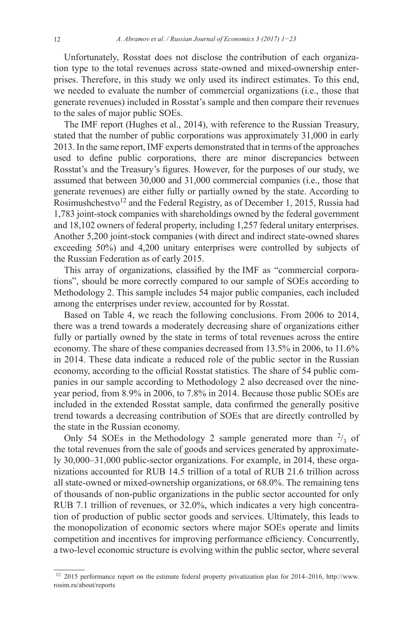Unfortunately, Rosstat does not disclose the contribution of each organization type to the total revenues across state-owned and mixed-ownership enterprises. Therefore, in this study we only used its indirect estimates. To this end, we needed to evaluate the number of commercial organizations (i.e., those that generate revenues) included in Rosstat's sample and then compare their revenues to the sales of major public SOEs.

The IMF report (Hughes et al., 2014), with reference to the Russian Treasury, stated that the number of public corporations was approximately 31,000 in early 2013. In the same report, IMF experts demonstrated that in terms of the approaches used to define public corporations, there are minor discrepancies between Rosstat's and the Treasury's figures. However, for the purposes of our study, we assumed that between 30,000 and 31,000 commercial companies (i.e., those that generate revenues) are either fully or partially owned by the state. According to Rosimushchestvo<sup>12</sup> and the Federal Registry, as of December 1, 2015, Russia had 1,783 joint-stock companies with shareholdings owned by the federal government and 18,102 owners of federal property, including 1,257 federal unitary enterprises. Another 5,200 joint-stock companies (with direct and indirect state-owned shares exceeding 50%) and 4,200 unitary enterprises were controlled by subjects of the Russian Federation as of early 2015.

This array of organizations, classified by the IMF as "commercial corporations", should be more correctly compared to our sample of SOEs according to Methodology 2. This sample includes 54 major public companies, each included among the enterprises under review, accounted for by Rosstat.

Based on Table 4, we reach the following conclusions. From 2006 to 2014, there was a trend towards a moderately decreasing share of organizations either fully or partially owned by the state in terms of total revenues across the entire economy. The share of these companies decreased from 13.5% in 2006, to 11.6% in 2014. These data indicate a reduced role of the public sector in the Russian economy, according to the official Rosstat statistics. The share of 54 public companies in our sample according to Methodology 2 also decreased over the nineyear period, from 8.9% in 2006, to 7.8% in 2014. Because those public SOEs are included in the extended Rosstat sample, data confirmed the generally positive trend towards a decreasing contribution of SOEs that are directly controlled by the state in the Russian economy.

Only 54 SOEs in the Methodology 2 sample generated more than  $\frac{2}{3}$  of the total revenues from the sale of goods and services generated by approximately 30,000–31,000 public-sector organizations. For example, in 2014, these organizations accounted for RUB 14.5 trillion of a total of RUB 21.6 trillion across all state-owned or mixed-ownership organizations, or 68.0%. The remaining tens of thousands of non-public organizations in the public sector accounted for only RUB 7.1 trillion of revenues, or 32.0%, which indicates a very high concentration of production of public sector goods and services. Ultimately, this leads to the monopolization of economic sectors where major SOEs operate and limits competition and incentives for improving performance efficiency. Concurrently, a two-level economic structure is evolving within the public sector, where several

<sup>&</sup>lt;sup>12</sup> 2015 performance report on the estimate federal property privatization plan for 2014–2016, [http://www.](http://www.rosim.ru/about/reports) [rosim.ru/about/reports](http://www.rosim.ru/about/reports)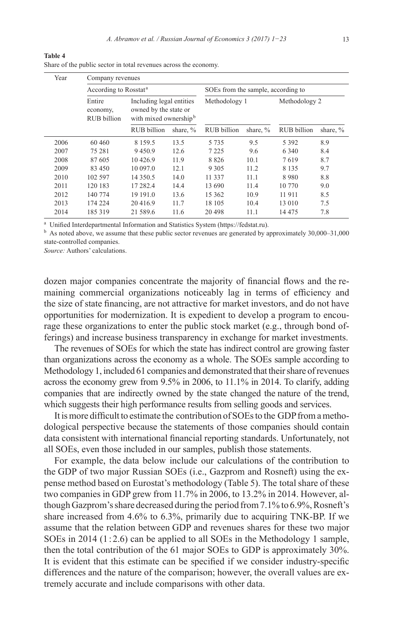| Year | Company revenues                         |                                                                                        |             |                                    |             |               |             |  |  |
|------|------------------------------------------|----------------------------------------------------------------------------------------|-------------|------------------------------------|-------------|---------------|-------------|--|--|
|      | According to Rosstat <sup>a</sup>        |                                                                                        |             | SOEs from the sample, according to |             |               |             |  |  |
|      | Entire<br>economy,<br><b>RUB</b> billion | Including legal entities<br>owned by the state or<br>with mixed ownership <sup>b</sup> |             | Methodology 1                      |             | Methodology 2 |             |  |  |
|      |                                          | <b>RUB</b> billion                                                                     | share, $\%$ | <b>RUB</b> billion                 | share, $\%$ | RUB billion   | share, $\%$ |  |  |
| 2006 | 60 460                                   | 8 1 5 9 5                                                                              | 13.5        | 5 7 3 5                            | 9.5         | 5 3 9 2       | 8.9         |  |  |
| 2007 | 75 281                                   | 9450.9                                                                                 | 12.6        | 7 2 2 5                            | 9.6         | 6 3 4 0       | 8.4         |  |  |
| 2008 | 87 605                                   | 10426.9                                                                                | 11.9        | 8826                               | 10.1        | 7619          | 8.7         |  |  |
| 2009 | 83 450                                   | 10 097.0                                                                               | 12.1        | 9 3 0 5                            | 11.2        | 8 1 3 5       | 9.7         |  |  |
| 2010 | 102 597                                  | 14 3 5 0 5                                                                             | 14.0        | 11 337                             | 11.1        | 8980          | 8.8         |  |  |
| 2011 | 120 183                                  | 17 282.4                                                                               | 14.4        | 13 690                             | 11.4        | 10 770        | 9.0         |  |  |
| 2012 | 140 774                                  | 19 19 1.0                                                                              | 13.6        | 15 3 6 2                           | 10.9        | 11 911        | 8.5         |  |  |
| 2013 | 174 224                                  | 20416.9                                                                                | 11.7        | 18 105                             | 10.4        | 13 010        | 7.5         |  |  |
| 2014 | 185 319                                  | 21 589.6                                                                               | 11.6        | 20 498                             | 11.1        | 14 475        | 7.8         |  |  |

Share of the public sector in total revenues across the economy.

a Unified Interdepartmental Information and Statistics System (https://fedstat.ru).

 $<sup>b</sup>$  As noted above, we assume that these public sector revenues are generated by approximately 30,000–31,000</sup> state-controlled companies.

*Source:* Authors' calculations.

**Table 4**

dozen major companies concentrate the majority of financial flows and the remaining commercial organizations noticeably lag in terms of efficiency and the size of state financing, are not attractive for market investors, and do not have opportunities for modernization. It is expedient to develop a program to encourage these organizations to enter the public stock market (e.g., through bond offerings) and increase business transparency in exchange for market investments.

The revenues of SOEs for which the state has indirect control are growing faster than organizations across the economy as a whole. The SOEs sample according to Methodology 1, included 61 companies and demonstrated that their share of revenues across the economy grew from 9.5% in 2006, to 11.1% in 2014. To clarify, adding companies that are indirectly owned by the state changed the nature of the trend, which suggests their high performance results from selling goods and services.

It is more difficult to estimate the contribution of SOEs to the GDP from amethodological perspective because the statements of those companies should contain data consistent with international financial reporting standards. Unfortunately, not all SOEs, even those included in our samples, publish those statements.

For example, the data below include our calculations of the contribution to the GDP of two major Russian SOEs (i.e., Gazprom and Rosneft) using the expense method based on Eurostat's methodology (Table 5). The total share of these two companies in GDP grew from 11.7% in 2006, to 13.2% in 2014. However, although Gazprom's share decreased during the period from 7.1% to 6.9%, Rosneft's share increased from 4.6% to 6.3%, primarily due to acquiring TNK-BP. If we assume that the relation between GDP and revenues shares for these two major SOEs in 2014 (1:2.6) can be applied to all SOEs in the Methodology 1 sample, then the total contribution of the 61 major SOEs to GDP is approximately 30%. It is evident that this estimate can be specified if we consider industry-specific differences and the nature of the comparison; however, the overall values are extremely accurate and include comparisons with other data.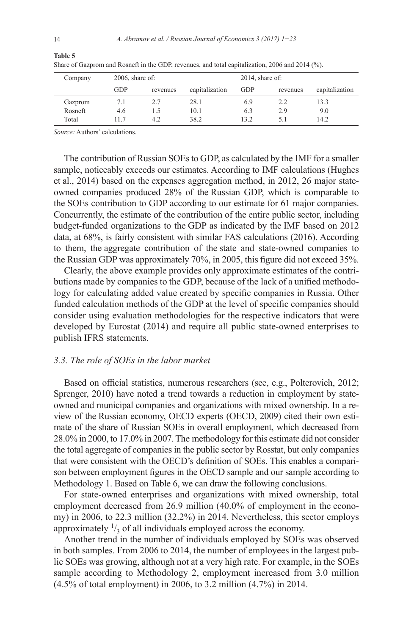| Company |            | $2006$ , share of: |                |            | $2014$ , share of: |                |  |
|---------|------------|--------------------|----------------|------------|--------------------|----------------|--|
|         | <b>GDP</b> | revenues           | capitalization | <b>GDP</b> | revenues           | capitalization |  |
| Gazprom |            |                    | 28.1           | 6.9        | 2.2                | 13.3           |  |
| Rosneft | 4.6        |                    | 10.1           | 6.3        | 2.9                | 9.0            |  |
| Total   |            | 4.2                | 38.2           | 13.2       | 5. I               | 14.2           |  |

Share of Gazprom and Rosneft in the GDP, revenues, and total capitalization, 2006 and 2014 (%).

*Source:* Authors' calculations.

The contribution of Russian SOEs to GDP, as calculated by the IMF for a smaller sample, noticeably exceeds our estimates. According to IMF calculations (Hughes et al., 2014) based on the expenses aggregation method, in 2012, 26 major stateowned companies produced 28% of the Russian GDP, which is comparable to the SOEs contribution to GDP according to our estimate for 61 major companies. Concurrently, the estimate of the contribution of the entire public sector, including budget-funded organizations to the GDP as indicated by the IMF based on 2012 data, at 68%, is fairly consistent with similar FAS calculations (2016). According to them, the aggregate contribution of the state and state-owned companies to the Russian GDP was approximately 70%, in 2005, this figure did not exceed 35%.

Clearly, the above example provides only approximate estimates of the contributions made by companies to the GDP, because of the lack of a unified methodology for calculating added value created by specific companies in Russia. Other funded calculation methods of the GDP at the level of specific companies should consider using evaluation methodologies for the respective indicators that were developed by Eurostat (2014) and require all public state-owned enterprises to publish IFRS statements.

#### *3.3. The role of SOEs in the labor market*

Based on official statistics, numerous researchers (see, e.g., Polterovich, 2012; Sprenger, 2010) have noted a trend towards a reduction in employment by stateowned and municipal companies and organizations with mixed ownership. In a review of the Russian economy, OECD experts (OECD, 2009) cited their own estimate of the share of Russian SOEs in overall employment, which decreased from 28.0% in 2000, to 17.0% in 2007. The methodology for this estimate did not consider the total aggregate of companies in the public sector by Rosstat, but only companies that were consistent with the OECD's definition of SOEs. This enables a comparison between employment figures in the OECD sample and our sample according to Methodology 1. Based on Table 6, we can draw the following conclusions.

For state-owned enterprises and organizations with mixed ownership, total employment decreased from 26.9 million (40.0% of employment in the economy) in 2006, to 22.3 million (32.2%) in 2014. Nevertheless, this sector employs approximately  $\frac{1}{3}$  of all individuals employed across the economy.

Another trend in the number of individuals employed by SOEs was observed in both samples. From 2006 to 2014, the number of employees in the largest public SOEs was growing, although not at a very high rate. For example, in the SOEs sample according to Methodology 2, employment increased from 3.0 million (4.5% of total employment) in 2006, to 3.2 million (4.7%) in 2014.

**Table 5**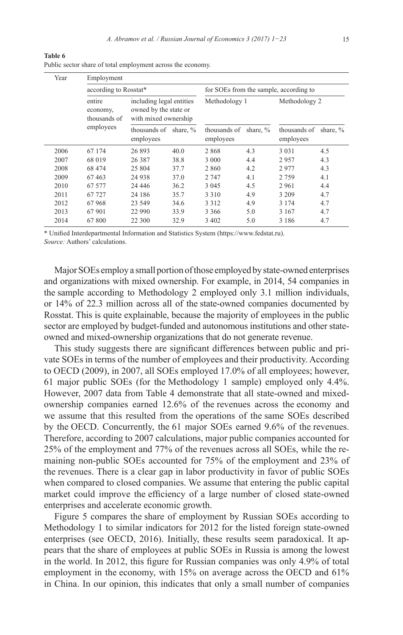| Year | Employment                                                                                                      |                                    |      |                                        |             |                           |             |  |
|------|-----------------------------------------------------------------------------------------------------------------|------------------------------------|------|----------------------------------------|-------------|---------------------------|-------------|--|
|      | according to Rosstat*                                                                                           |                                    |      | for SOEs from the sample, according to |             |                           |             |  |
|      | including legal entities<br>entire<br>owned by the state or<br>economy,<br>thousands of<br>with mixed ownership |                                    |      | Methodology 1                          |             | Methodology 2             |             |  |
|      | employees                                                                                                       | thousands of share, %<br>employees |      | thousands of<br>employees              | share, $\%$ | thousands of<br>employees | share, $\%$ |  |
| 2006 | 67 174                                                                                                          | 26 893                             | 40.0 | 2868                                   | 4.3         | 3 0 3 1                   | 4.5         |  |
| 2007 | 68 019                                                                                                          | 26 3 8 7                           | 38.8 | 3 0 0 0                                | 4.4         | 2957                      | 4.3         |  |
| 2008 | 68 474                                                                                                          | 25 804                             | 37.7 | 2 8 6 0                                | 4.2         | 2977                      | 4.3         |  |
| 2009 | 67463                                                                                                           | 24 9 38                            | 37.0 | 2 7 4 7                                | 4.1         | 2759                      | 4.1         |  |
| 2010 | 67 577                                                                                                          | 24 4 4 6                           | 36.2 | 3 0 4 5                                | 4.5         | 2961                      | 4.4         |  |
| 2011 | 67 727                                                                                                          | 24 18 6                            | 35.7 | 3 3 1 0                                | 4.9         | 3 209                     | 4.7         |  |
| 2012 | 67968                                                                                                           | 23 549                             | 34.6 | 3 3 1 2                                | 4.9         | 3 1 7 4                   | 4.7         |  |
| 2013 | 67 901                                                                                                          | 22 990                             | 33.9 | 3 3 6 6                                | 5.0         | 3 1 6 7                   | 4.7         |  |
| 2014 | 67800                                                                                                           | 22 300                             | 32.9 | 3 4 0 2                                | 5.0         | 3 1 8 6                   | 4.7         |  |

**Table 6** Public sector share of total employment across the economy.

\* Unified Interdepartmental Information and Statistics System (https://www.fedstat.ru).

*Source:* Authors' calculations.

Major SOEs employ a small portion of those employed by state-owned enterprises and organizations with mixed ownership. For example, in 2014, 54 companies in the sample according to Methodology 2 employed only 3.1 million individuals, or 14% of 22.3 million across all of the state-owned companies documented by Rosstat. This is quite explainable, because the majority of employees in the public sector are employed by budget-funded and autonomous institutions and other stateowned and mixed-ownership organizations that do not generate revenue.

This study suggests there are significant differences between public and private SOEs in terms of the number of employees and their productivity. According to OECD (2009), in 2007, all SOEs employed 17.0% of all employees; however, 61 major public SOEs (for the Methodology 1 sample) employed only 4.4%. However, 2007 data from Table 4 demonstrate that all state-owned and mixedownership companies earned 12.6% of the revenues across the economy and we assume that this resulted from the operations of the same SOEs described by the OECD. Concurrently, the 61 major SOEs earned 9.6% of the revenues. Therefore, according to 2007 calculations, major public companies accounted for 25% of the employment and 77% of the revenues across all SOEs, while the remaining non-public SOEs accounted for 75% of the employment and 23% of the revenues. There is a clear gap in labor productivity in favor of public SOEs when compared to closed companies. We assume that entering the public capital market could improve the efficiency of a large number of closed state-owned enterprises and accelerate economic growth.

Figure 5 compares the share of employment by Russian SOEs according to Methodology 1 to similar indicators for 2012 for the listed foreign state-owned enterprises (see OECD, 2016). Initially, these results seem paradoxical. It appears that the share of employees at public SOEs in Russia is among the lowest in the world. In 2012, this figure for Russian companies was only 4.9% of total employment in the economy, with 15% on average across the OECD and 61% in China. In our opinion, this indicates that only a small number of companies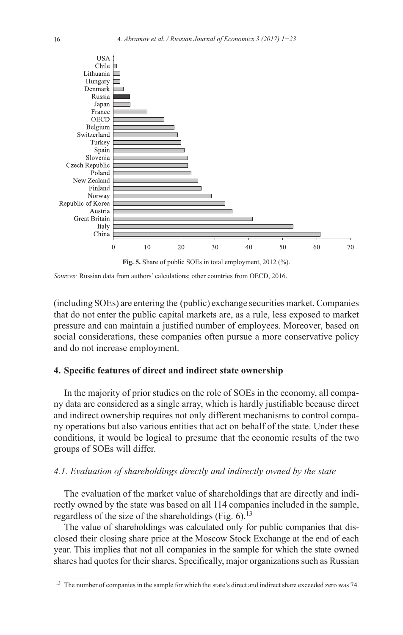

*Sources:* Russian data from authors' calculations; other countries from OECD, 2016.

(including SOEs) are entering the (public) exchange securities market. Companies that do not enter the public capital markets are, as a rule, less exposed to market pressure and can maintain a justified number of employees. Moreover, based on social considerations, these companies often pursue a more conservative policy and do not increase employment.

# **4. Specific features of direct and indirect state ownership**

In the majority of prior studies on the role of SOEs in the economy, all company data are considered as a single array, which is hardly justifiable because direct and indirect ownership requires not only different mechanisms to control company operations but also various entities that act on behalf of the state. Under these conditions, it would be logical to presume that the economic results of the two groups of SOEs will differ.

# *4.1. Evaluation of shareholdings directly and indirectly owned by the state*

The evaluation of the market value of shareholdings that are directly and indirectly owned by the state was based on all 114 companies included in the sample, regardless of the size of the shareholdings (Fig.  $6$ ).<sup>13</sup>

The value of shareholdings was calculated only for public companies that disclosed their closing share price at the Moscow Stock Exchange at the end of each year. This implies that not all companies in the sample for which the state owned shares had quotes for their shares. Specifically, major organizations such as Russian

<sup>&</sup>lt;sup>13</sup> The number of companies in the sample for which the state's direct and indirect share exceeded zero was 74.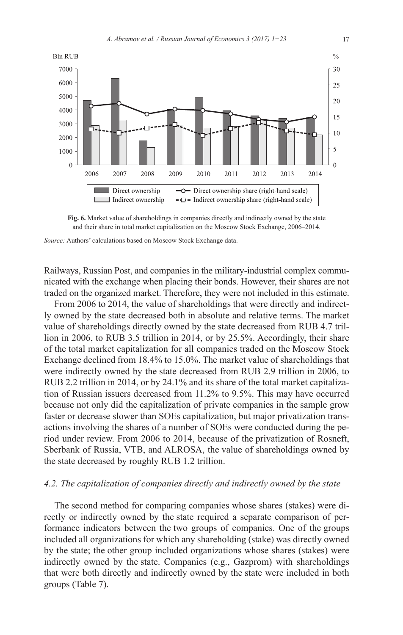

**Fig. 6.** Market value of shareholdings in companies directly and indirectly owned by the state and their share in total market capitalization on the Moscow Stock Exchange, 2006–2014.

*Source:* Authors' calculations based on Moscow Stock Exchange data.

Railways, Russian Post, and companies in the military-industrial complex communicated with the exchange when placing their bonds. However, their shares are not traded on the organized market. Therefore, they were not included in this estimate.

From 2006 to 2014, the value of shareholdings that were directly and indirectly owned by the state decreased both in absolute and relative terms. The market value of shareholdings directly owned by the state decreased from RUB 4.7 trillion in 2006, to RUB 3.5 trillion in 2014, or by 25.5%. Accordingly, their share of the total market capitalization for all companies traded on the Moscow Stock Exchange declined from 18.4% to 15.0%. The market value of shareholdings that were indirectly owned by the state decreased from RUB 2.9 trillion in 2006, to RUB 2.2 trillion in 2014, or by 24.1% and its share of the total market capitalization of Russian issuers decreased from 11.2% to 9.5%. This may have occurred because not only did the capitalization of private companies in the sample grow faster or decrease slower than SOEs capitalization, but major privatization transactions involving the shares of a number of SOEs were conducted during the period under review. From 2006 to 2014, because of the privatization of Rosneft, Sberbank of Russia, VTB, and ALROSA, the value of shareholdings owned by the state decreased by roughly RUB 1.2 trillion.

#### *4.2. The capitalization of companies directly and indirectly owned by the state*

The second method for comparing companies whose shares (stakes) were directly or indirectly owned by the state required a separate comparison of performance indicators between the two groups of companies. One of the groups included all organizations for which any shareholding (stake) was directly owned by the state; the other group included organizations whose shares (stakes) were indirectly owned by the state. Companies (e.g., Gazprom) with shareholdings that were both directly and indirectly owned by the state were included in both groups (Table 7).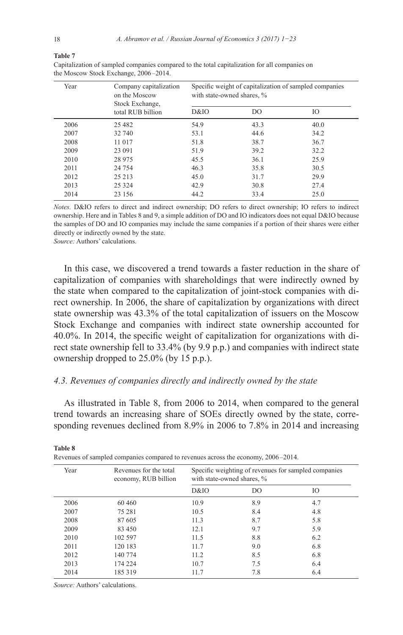#### **Table 7**

| Year | Company capitalization<br>on the Moscow<br>Stock Exchange, | Specific weight of capitalization of sampled companies<br>with state-owned shares, % |      |      |  |  |
|------|------------------------------------------------------------|--------------------------------------------------------------------------------------|------|------|--|--|
|      | total RUB billion                                          | D&IO                                                                                 | DO   | IO   |  |  |
| 2006 | 25 4 8 2                                                   | 54.9                                                                                 | 43.3 | 40.0 |  |  |
| 2007 | 32 740                                                     | 53.1                                                                                 | 44.6 | 34.2 |  |  |
| 2008 | 11 017                                                     | 51.8                                                                                 | 38.7 | 36.7 |  |  |
| 2009 | 23 091                                                     | 51.9                                                                                 | 39.2 | 32.2 |  |  |
| 2010 | 28 975                                                     | 45.5                                                                                 | 36.1 | 25.9 |  |  |
| 2011 | 24 7 54                                                    | 46.3                                                                                 | 35.8 | 30.5 |  |  |
| 2012 | 25 213                                                     | 45.0                                                                                 | 31.7 | 29.9 |  |  |
| 2013 | 25 3 24                                                    | 42.9                                                                                 | 30.8 | 27.4 |  |  |
| 2014 | 23 156                                                     | 44.2                                                                                 | 33.4 | 25.0 |  |  |

Capitalization of sampled companies compared to the total capitalization for all companies on the Moscow Stock Exchange, 2006–2014.

*Notes.* D&IO refers to direct and indirect ownership; DO refers to direct ownership; IO refers to indirect ownership. Here and in Tables 8 and 9, a simple addition of DO and IO indicators does not equal D&IO because the samples of DO and IO companies may include the same companies if a portion of their shares were either directly or indirectly owned by the state.

*Source:* Authors' calculations.

In this case, we discovered a trend towards a faster reduction in the share of capitalization of companies with shareholdings that were indirectly owned by the state when compared to the capitalization of joint-stock companies with direct ownership. In 2006, the share of capitalization by organizations with direct state ownership was 43.3% of the total capitalization of issuers on the Moscow Stock Exchange and companies with indirect state ownership accounted for 40.0%. In 2014, the specific weight of capitalization for organizations with direct state ownership fell to 33.4% (by 9.9 p.p.) and companies with indirect state ownership dropped to 25.0% (by 15 p.p.).

#### *4.3. Revenues of companies directly and indirectly owned by the state*

As illustrated in Table 8, from 2006 to 2014, when compared to the general trend towards an increasing share of SOEs directly owned by the state, corresponding revenues declined from 8.9% in 2006 to 7.8% in 2014 and increasing

| Year | Revenues for the total<br>economy, RUB billion | Specific weighting of revenues for sampled companies<br>with state-owned shares, % |     |     |  |  |
|------|------------------------------------------------|------------------------------------------------------------------------------------|-----|-----|--|--|
|      |                                                | D&IO                                                                               | DO  | Ю   |  |  |
| 2006 | 60 460                                         | 10.9                                                                               | 8.9 | 4.7 |  |  |
| 2007 | 75 281                                         | 10.5                                                                               | 8.4 | 4.8 |  |  |
| 2008 | 87 605                                         | 11.3                                                                               | 8.7 | 5.8 |  |  |
| 2009 | 83 450                                         | 12.1                                                                               | 9.7 | 5.9 |  |  |
| 2010 | 102.597                                        | 11.5                                                                               | 8.8 | 6.2 |  |  |
| 2011 | 120 183                                        | 11.7                                                                               | 9.0 | 6.8 |  |  |
| 2012 | 140 774                                        | 11.2                                                                               | 8.5 | 6.8 |  |  |
| 2013 | 174 224                                        | 10.7                                                                               | 7.5 | 6.4 |  |  |
| 2014 | 185 319                                        | 11.7                                                                               | 7.8 | 6.4 |  |  |

**Table 8**

Revenues of sampled companies compared to revenues across the economy, 2006 –2014.

*Source:* Authors' calculations.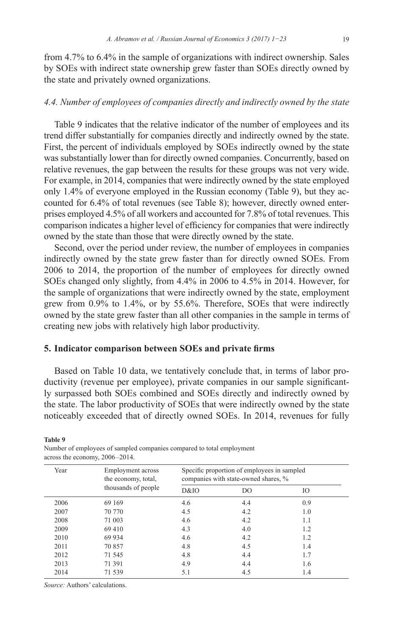from 4.7% to 6.4% in the sample of organizations with indirect ownership. Sales by SOEs with indirect state ownership grew faster than SOEs directly owned by the state and privately owned organizations.

# *4.4. Number of employees of companies directly and indirectly owned by the state*

Table 9 indicates that the relative indicator of the number of employees and its trend differ substantially for companies directly and indirectly owned by the state. First, the percent of individuals employed by SOEs indirectly owned by the state was substantially lower than for directly owned companies. Concurrently, based on relative revenues, the gap between the results for these groups was not very wide. For example, in 2014, companies that were indirectly owned by the state employed only 1.4% of everyone employed in the Russian economy (Table 9), but they accounted for 6.4% of total revenues (see Table 8); however, directly owned enterprises employed 4.5% of all workers and accounted for 7.8% of total revenues. This comparison indicates a higher level of efficiency for companies that were indirectly owned by the state than those that were directly owned by the state.

Second, over the period under review, the number of employees in companies indirectly owned by the state grew faster than for directly owned SOEs. From 2006 to 2014, the proportion of the number of employees for directly owned SOEs changed only slightly, from 4.4% in 2006 to 4.5% in 2014. However, for the sample of organizations that were indirectly owned by the state, employment grew from 0.9% to 1.4%, or by 55.6%. Therefore, SOEs that were indirectly owned by the state grew faster than all other companies in the sample in terms of creating new jobs with relatively high labor productivity.

#### **5. Indicator comparison between SOEs and private firms**

Based on Table 10 data, we tentatively conclude that, in terms of labor productivity (revenue per employee), private companies in our sample significantly surpassed both SOEs combined and SOEs directly and indirectly owned by the state. The labor productivity of SOEs that were indirectly owned by the state noticeably exceeded that of directly owned SOEs. In 2014, revenues for fully

**Table 9**

|      | across the economy, $2000 - 2014$ .      |                                                                                     |                |     |  |  |
|------|------------------------------------------|-------------------------------------------------------------------------------------|----------------|-----|--|--|
| Year | Employment across<br>the economy, total, | Specific proportion of employees in sampled<br>companies with state-owned shares, % |                |     |  |  |
|      | thousands of people                      | D&IO                                                                                | D <sub>O</sub> | IO  |  |  |
| 2006 | 69 169                                   | 4.6                                                                                 | 4.4            | 0.9 |  |  |
| 2007 | 70 770                                   | 4.5                                                                                 | 4.2            | 1.0 |  |  |
| 2008 | 71 003                                   | 4.6                                                                                 | 4.2            | 1.1 |  |  |
| 2009 | 69 410                                   | 4.3                                                                                 | 4.0            | 1.2 |  |  |
| 2010 | 69 9 34                                  | 4.6                                                                                 | 4.2            | 1.2 |  |  |
| 2011 | 70 857                                   | 4.8                                                                                 | 4.5            | 1.4 |  |  |
| 2012 | 71 545                                   | 4.8                                                                                 | 4.4            | 1.7 |  |  |
| 2013 | 71 391                                   | 4.9                                                                                 | 4.4            | 1.6 |  |  |
| 2014 | 71 539                                   | 5.1                                                                                 | 4.5            | 1.4 |  |  |
|      |                                          |                                                                                     |                |     |  |  |

Number of employees of sampled companies compared to total employment across the economy.  $2006 - 2014$ 

*Source:* Authors' calculations.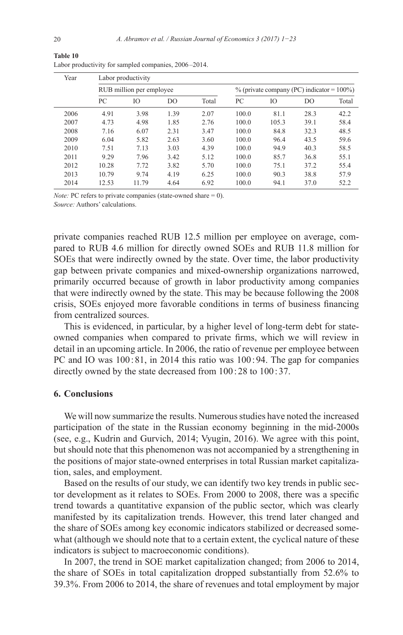| Year |       | Labor productivity       |      |       |                                              |       |                |       |
|------|-------|--------------------------|------|-------|----------------------------------------------|-------|----------------|-------|
|      |       | RUB million per employee |      |       | $\%$ (private company (PC) indicator = 100%) |       |                |       |
|      | PC    | Ю                        | DO   | Total | PC                                           | IО    | D <sub>O</sub> | Total |
| 2006 | 4.91  | 3.98                     | 1.39 | 2.07  | 100.0                                        | 81.1  | 28.3           | 42.2  |
| 2007 | 4.73  | 4.98                     | 1.85 | 2.76  | 100.0                                        | 105.3 | 39.1           | 58.4  |
| 2008 | 7.16  | 6.07                     | 2.31 | 3.47  | 100.0                                        | 84.8  | 32.3           | 48.5  |
| 2009 | 6.04  | 5.82                     | 2.63 | 3.60  | 100.0                                        | 96.4  | 43.5           | 59.6  |
| 2010 | 7.51  | 7.13                     | 3.03 | 4.39  | 100.0                                        | 94.9  | 40.3           | 58.5  |
| 2011 | 9.29  | 7.96                     | 3.42 | 5.12  | 100.0                                        | 85.7  | 36.8           | 55.1  |
| 2012 | 10.28 | 7.72                     | 3.82 | 5.70  | 100.0                                        | 75.1  | 37.2           | 55.4  |
| 2013 | 10.79 | 9.74                     | 4.19 | 6.25  | 100.0                                        | 90.3  | 38.8           | 57.9  |
| 2014 | 12.53 | 11.79                    | 4.64 | 6.92  | 100.0                                        | 94.1  | 37.0           | 52.2  |

**Table 10**  Labor productivity for sampled companies, 2006–2014.

*Note:* PC refers to private companies (state-owned share = 0). *Source:* Authors' calculations.

private companies reached RUB 12.5 million per employee on average, compared to RUB 4.6 million for directly owned SOEs and RUB 11.8 million for SOEs that were indirectly owned by the state. Over time, the labor productivity gap between private companies and mixed-ownership organizations narrowed, primarily occurred because of growth in labor productivity among companies that were indirectly owned by the state. This may be because following the 2008 crisis, SOEs enjoyed more favorable conditions in terms of business financing from centralized sources.

This is evidenced, in particular, by a higher level of long-term debt for stateowned companies when compared to private firms, which we will review in detail in an upcoming article. In 2006, the ratio of revenue per employee between PC and IO was 100:81, in 2014 this ratio was 100:94. The gap for companies directly owned by the state decreased from  $100:28$  to  $100:37$ .

# **6. Conclusions**

We will now summarize the results. Numerous studies have noted the increased participation of the state in the Russian economy beginning in the mid-2000s (see, e.g., Kudrin and Gurvich, 2014; Vyugin, 2016). We agree with this point, but should note that this phenomenon was not accompanied by a strengthening in the positions of major state-owned enterprises in total Russian market capitalization, sales, and employment.

Based on the results of our study, we can identify two key trends in public sector development as it relates to SOEs. From 2000 to 2008, there was a specific trend towards a quantitative expansion of the public sector, which was clearly manifested by its capitalization trends. However, this trend later changed and the share of SOEs among key economic indicators stabilized or decreased somewhat (although we should note that to a certain extent, the cyclical nature of these indicators is subject to macroeconomic conditions).

In 2007, the trend in SOE market capitalization changed; from 2006 to 2014, the share of SOEs in total capitalization dropped substantially from 52.6% to 39.3%. From 2006 to 2014, the share of revenues and total employment by major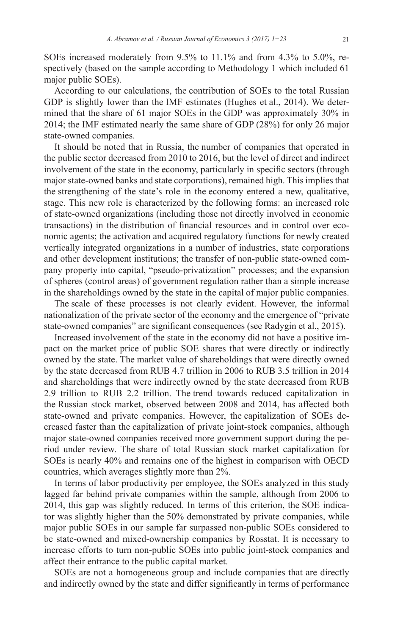SOEs increased moderately from 9.5% to 11.1% and from 4.3% to 5.0%, respectively (based on the sample according to Methodology 1 which included 61 major public SOEs).

According to our calculations, the contribution of SOEs to the total Russian GDP is slightly lower than the IMF estimates (Hughes et al., 2014). We determined that the share of 61 major SOEs in the GDP was approximately 30% in 2014; the IMF estimated nearly the same share of GDP (28%) for only 26 major state-owned companies.

It should be noted that in Russia, the number of companies that operated in the public sector decreased from 2010 to 2016, but the level of direct and indirect involvement of the state in the economy, particularly in specific sectors (through major state-owned banks and state corporations), remained high. This implies that the strengthening of the state's role in the economy entered a new, qualitative, stage. This new role is characterized by the following forms: an increased role of state-owned organizations (including those not directly involved in economic transactions) in the distribution of financial resources and in control over economic agents; the activation and acquired regulatory functions for newly created vertically integrated organizations in a number of industries, state corporations and other development institutions; the transfer of non-public state-owned company property into capital, "pseudo-privatization" processes; and the expansion of spheres (control areas) of government regulation rather than a simple increase in the shareholdings owned by the state in the capital of major public companies.

The scale of these processes is not clearly evident. However, the informal nationalization of the private sector of the economy and the emergence of "private state-owned companies" are significant consequences (see Radygin et al., 2015).

Increased involvement of the state in the economy did not have a positive impact on the market price of public SOE shares that were directly or indirectly owned by the state. The market value of shareholdings that were directly owned by the state decreased from RUB 4.7 trillion in 2006 to RUB 3.5 trillion in 2014 and shareholdings that were indirectly owned by the state decreased from RUB 2.9 trillion to RUB 2.2 trillion. The trend towards reduced capitalization in the Russian stock market, observed between 2008 and 2014, has affected both state-owned and private companies. However, the capitalization of SOEs decreased faster than the capitalization of private joint-stock companies, although major state-owned companies received more government support during the period under review. The share of total Russian stock market capitalization for SOEs is nearly 40% and remains one of the highest in comparison with OECD countries, which averages slightly more than 2%.

In terms of labor productivity per employee, the SOEs analyzed in this study lagged far behind private companies within the sample, although from 2006 to 2014, this gap was slightly reduced. In terms of this criterion, the SOE indicator was slightly higher than the 50% demonstrated by private companies, while major public SOEs in our sample far surpassed non-public SOEs considered to be state-owned and mixed-ownership companies by Rosstat. It is necessary to increase efforts to turn non-public SOEs into public joint-stock companies and affect their entrance to the public capital market.

SOEs are not a homogeneous group and include companies that are directly and indirectly owned by the state and differ significantly in terms of performance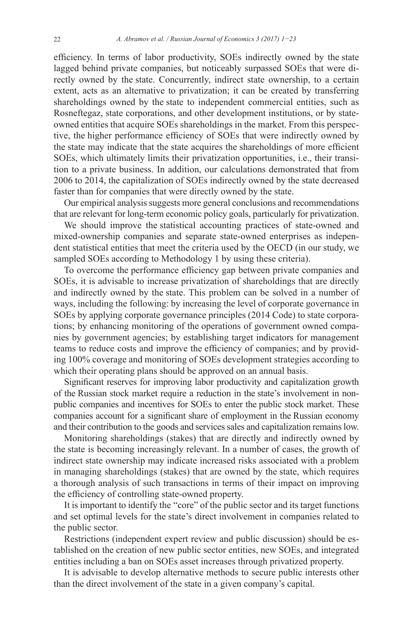efficiency. In terms of labor productivity, SOEs indirectly owned by the state lagged behind private companies, but noticeably surpassed SOEs that were directly owned by the state. Concurrently, indirect state ownership, to a certain extent, acts as an alternative to privatization; it can be created by transferring shareholdings owned by the state to independent commercial entities, such as Rosneftegaz, state corporations, and other development institutions, or by stateowned entities that acquire SOEs shareholdings in the market. From this perspective, the higher performance efficiency of SOEs that were indirectly owned by the state may indicate that the state acquires the shareholdings of more efficient SOEs, which ultimately limits their privatization opportunities, i.e., their transition to a private business. In addition, our calculations demonstrated that from 2006 to 2014, the capitalization of SOEs indirectly owned by the state decreased faster than for companies that were directly owned by the state.

Our empirical analysis suggests more general conclusions and recommendations that are relevant for long-term economic policy goals, particularly for privatization.

We should improve the statistical accounting practices of state-owned and mixed-ownership companies and separate state-owned enterprises as independent statistical entities that meet the criteria used by the OECD (in our study, we sampled SOEs according to Methodology 1 by using these criteria).

To overcome the performance efficiency gap between private companies and SOEs, it is advisable to increase privatization of shareholdings that are directly and indirectly owned by the state. This problem can be solved in a number of ways, including the following: by increasing the level of corporate governance in SOEs by applying corporate governance principles (2014 Code) to state corporations; by enhancing monitoring of the operations of government owned companies by government agencies; by establishing target indicators for management teams to reduce costs and improve the efficiency of companies; and by providing 100% coverage and monitoring of SOEs development strategies according to which their operating plans should be approved on an annual basis.

Significant reserves for improving labor productivity and capitalization growth of the Russian stock market require a reduction in the state's involvement in nonpublic companies and incentives for SOEs to enter the public stock market. These companies account for a significant share of employment in the Russian economy and their contribution to the goods and services sales and capitalization remains low.

Monitoring shareholdings (stakes) that are directly and indirectly owned by the state is becoming increasingly relevant. In a number of cases, the growth of indirect state ownership may indicate increased risks associated with a problem in managing shareholdings (stakes) that are owned by the state, which requires a thorough analysis of such transactions in terms of their impact on improving the efficiency of controlling state-owned property.

It is important to identify the "core" of the public sector and its target functions and set optimal levels for the state's direct involvement in companies related to the public sector.

Restrictions (independent expert review and public discussion) should be established on the creation of new public sector entities, new SOEs, and integrated entities including a ban on SOEs asset increases through privatized property.

It is advisable to develop alternative methods to secure public interests other than the direct involvement of the state in a given company's capital.